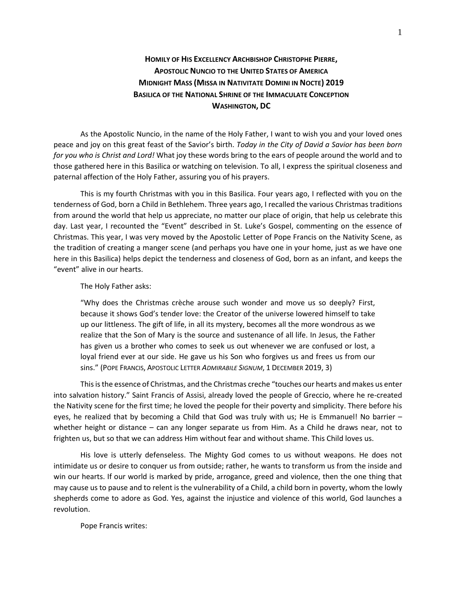## **HOMILY OF HIS EXCELLENCY ARCHBISHOP CHRISTOPHE PIERRE, APOSTOLIC NUNCIO TO THE UNITED STATES OF AMERICA MIDNIGHT MASS (MISSA IN NATIVITATE DOMINI IN NOCTE) 2019 BASILICA OF THE NATIONAL SHRINE OF THE IMMACULATE CONCEPTION WASHINGTON, DC**

As the Apostolic Nuncio, in the name of the Holy Father, I want to wish you and your loved ones peace and joy on this great feast of the Savior's birth. *Today in the City of David a Savior has been born for you who is Christ and Lord!* What joy these words bring to the ears of people around the world and to those gathered here in this Basilica or watching on television. To all, I express the spiritual closeness and paternal affection of the Holy Father, assuring you of his prayers.

This is my fourth Christmas with you in this Basilica. Four years ago, I reflected with you on the tenderness of God, born a Child in Bethlehem. Three years ago, I recalled the various Christmas traditions from around the world that help us appreciate, no matter our place of origin, that help us celebrate this day. Last year, I recounted the "Event" described in St. Luke's Gospel, commenting on the essence of Christmas. This year, I was very moved by the Apostolic Letter of Pope Francis on the Nativity Scene, as the tradition of creating a manger scene (and perhaps you have one in your home, just as we have one here in this Basilica) helps depict the tenderness and closeness of God, born as an infant, and keeps the "event" alive in our hearts.

The Holy Father asks:

"Why does the Christmas crèche arouse such wonder and move us so deeply? First, because it shows God's tender love: the Creator of the universe lowered himself to take up our littleness. The gift of life, in all its mystery, becomes all the more wondrous as we realize that the Son of Mary is the source and sustenance of all life. In Jesus, the Father has given us a brother who comes to seek us out whenever we are confused or lost, a loyal friend ever at our side. He gave us his Son who forgives us and frees us from our sins." (POPE FRANCIS, APOSTOLIC LETTER *ADMIRABILE SIGNUM*, 1 DECEMBER 2019, 3)

This is the essence of Christmas, and the Christmas creche "touches our hearts and makes us enter into salvation history." Saint Francis of Assisi, already loved the people of Greccio, where he re-created the Nativity scene for the first time; he loved the people for their poverty and simplicity. There before his eyes, he realized that by becoming a Child that God was truly with us; He is Emmanuel! No barrier – whether height or distance – can any longer separate us from Him. As a Child he draws near, not to frighten us, but so that we can address Him without fear and without shame. This Child loves us.

His love is utterly defenseless. The Mighty God comes to us without weapons. He does not intimidate us or desire to conquer us from outside; rather, he wants to transform us from the inside and win our hearts. If our world is marked by pride, arrogance, greed and violence, then the one thing that may cause us to pause and to relent is the vulnerability of a Child, a child born in poverty, whom the lowly shepherds come to adore as God. Yes, against the injustice and violence of this world, God launches a revolution.

Pope Francis writes: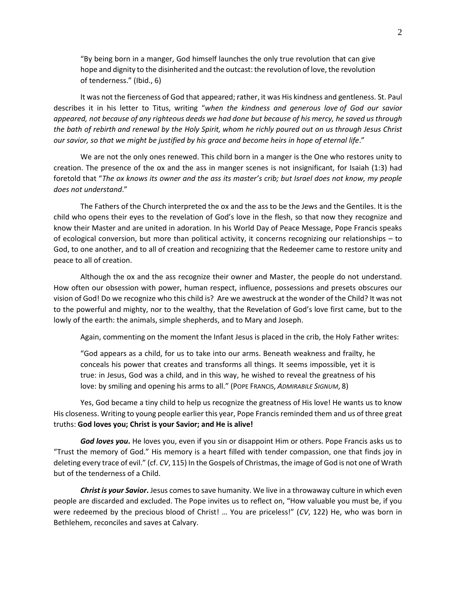"By being born in a manger, God himself launches the only true revolution that can give hope and dignity to the disinherited and the outcast: the revolution of love, the revolution of tenderness." (Ibid., 6)

It was not the fierceness of God that appeared; rather, it was His kindness and gentleness. St. Paul describes it in his letter to Titus, writing "*when the kindness and generous love of God our savior appeared, not because of any righteous deeds we had done but because of his mercy, he saved us through the bath of rebirth and renewal by the Holy Spirit, whom he richly poured out on us through Jesus Christ our savior, so that we might be justified by his grace and become heirs in hope of eternal life*."

We are not the only ones renewed. This child born in a manger is the One who restores unity to creation. The presence of the ox and the ass in manger scenes is not insignificant, for Isaiah (1:3) had foretold that "*The ox knows its owner and the ass its master's crib; but Israel does not know, my people does not understand*."

The Fathers of the Church interpreted the ox and the ass to be the Jews and the Gentiles. It is the child who opens their eyes to the revelation of God's love in the flesh, so that now they recognize and know their Master and are united in adoration. In his World Day of Peace Message, Pope Francis speaks of ecological conversion, but more than political activity, it concerns recognizing our relationships – to God, to one another, and to all of creation and recognizing that the Redeemer came to restore unity and peace to all of creation.

Although the ox and the ass recognize their owner and Master, the people do not understand. How often our obsession with power, human respect, influence, possessions and presets obscures our vision of God! Do we recognize who this child is? Are we awestruck at the wonder of the Child? It was not to the powerful and mighty, nor to the wealthy, that the Revelation of God's love first came, but to the lowly of the earth: the animals, simple shepherds, and to Mary and Joseph.

Again, commenting on the moment the Infant Jesus is placed in the crib, the Holy Father writes:

"God appears as a child, for us to take into our arms. Beneath weakness and frailty, he conceals his power that creates and transforms all things. It seems impossible, yet it is true: in Jesus, God was a child, and in this way, he wished to reveal the greatness of his love: by smiling and opening his arms to all." (POPE FRANCIS, *ADMIRABILE SIGNUM*, 8)

Yes, God became a tiny child to help us recognize the greatness of His love! He wants us to know His closeness. Writing to young people earlier this year, Pope Francis reminded them and us of three great truths: **God loves you; Christ is your Savior; and He is alive!**

*God loves you***.** He loves you, even if you sin or disappoint Him or others. Pope Francis asks us to "Trust the memory of God." His memory is a heart filled with tender compassion, one that finds joy in deleting every trace of evil." (cf. *CV*, 115) In the Gospels of Christmas, the image of God is not one of Wrath but of the tenderness of a Child.

*Christ is your Savior***.** Jesus comes to save humanity. We live in a throwaway culture in which even people are discarded and excluded. The Pope invites us to reflect on, "How valuable you must be, if you were redeemed by the precious blood of Christ! … You are priceless!" (*CV*, 122) He, who was born in Bethlehem, reconciles and saves at Calvary.